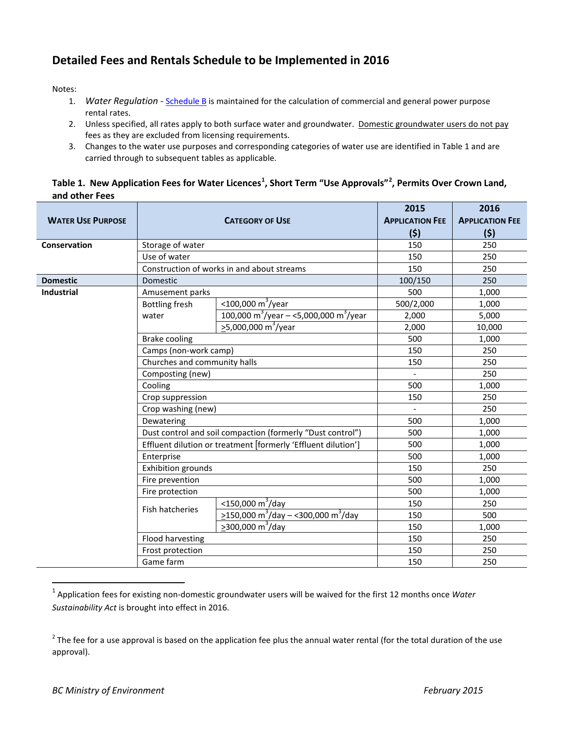# **Detailed Fees and Rentals Schedule to be Implemented in 2016**

Notes:

- 1. *Water Regulation* [Schedule](http://www.bclaws.ca/Recon/document/ID/freeside/12_204_88#ScheduleB) B is maintained for the calculation of commercial and general power purpose rental rates.
- 2. Unless specified, all rates apply to both surface water and groundwater. Domestic groundwater users do not pay fees as they are excluded from licensing requirements.
- 3. Changes to the water use purposes and corresponding categories of water use are identified in Table 1 and are carried through to subsequent tables as applicable.

## Table [1](#page-0-0). New Application Fees for Water Licences<sup>1</sup>, Short Term "Use Approvals"<sup>[2](#page-0-1)</sup>, Permits Over Crown Land, **and other Fees**

|                          |                                                                 |                                                                   | 2015                     | 2016                   |
|--------------------------|-----------------------------------------------------------------|-------------------------------------------------------------------|--------------------------|------------------------|
| <b>WATER USE PURPOSE</b> |                                                                 | <b>CATEGORY OF USE</b>                                            | <b>APPLICATION FEE</b>   | <b>APPLICATION FEE</b> |
|                          |                                                                 |                                                                   | (5)                      | (5)                    |
| Conservation             | Storage of water                                                |                                                                   | 150                      | 250                    |
|                          | Use of water                                                    |                                                                   | 150                      | 250                    |
|                          | Construction of works in and about streams                      |                                                                   | 150                      | 250                    |
| <b>Domestic</b>          | Domestic                                                        |                                                                   | 100/150                  | 250                    |
| <b>Industrial</b>        | Amusement parks                                                 |                                                                   | 500                      | 1,000                  |
|                          | <b>Bottling fresh</b>                                           | $<$ 100,000 m <sup>3</sup> /year                                  | 500/2,000                | 1,000                  |
|                          | water                                                           | 100,000 m <sup>3</sup> /year - <5,000,000 m <sup>3</sup> /year    | 2,000                    | 5,000                  |
|                          |                                                                 | $\ge$ 5,000,000 m <sup>3</sup> /year                              | 2,000                    | 10,000                 |
|                          | <b>Brake cooling</b>                                            |                                                                   | 500                      | 1,000                  |
|                          | Camps (non-work camp)                                           |                                                                   | 150                      | 250                    |
|                          | Churches and community halls                                    |                                                                   | 150                      | 250                    |
|                          | Composting (new)                                                |                                                                   | $\overline{\phantom{a}}$ | 250                    |
|                          | Cooling<br>Crop suppression<br>Crop washing (new)<br>Dewatering |                                                                   | 500                      | 1,000                  |
|                          |                                                                 |                                                                   | 150                      | 250                    |
|                          |                                                                 |                                                                   |                          | 250                    |
|                          |                                                                 |                                                                   | 500                      | 1,000                  |
|                          | Dust control and soil compaction (formerly "Dust control")      |                                                                   | 500                      | 1,000                  |
|                          | Effluent dilution or treatment [formerly 'Effluent dilution']   |                                                                   | 500                      | 1,000                  |
|                          | Enterprise                                                      |                                                                   | 500                      | 1,000                  |
|                          | <b>Exhibition grounds</b>                                       |                                                                   | 150                      | 250                    |
|                          | Fire prevention                                                 |                                                                   | 500                      | 1,000                  |
|                          | Fire protection                                                 |                                                                   | 500                      | 1,000                  |
|                          | Fish hatcheries                                                 | $<$ 150,000 m <sup>3</sup> /day                                   | 150                      | 250                    |
|                          |                                                                 | $\geq$ 150,000 m <sup>3</sup> /day – <300,000 m <sup>3</sup> /day | 150                      | 500                    |
|                          |                                                                 | $\geq$ 300,000 m <sup>3</sup> /day                                | 150                      | 1,000                  |
|                          | Flood harvesting                                                |                                                                   | 150                      | 250                    |
|                          | Frost protection                                                |                                                                   | 150                      | 250                    |
|                          | Game farm                                                       |                                                                   | 150                      | 250                    |

<span id="page-0-0"></span> <sup>1</sup> Application fees for existing non-domestic groundwater users will be waived for the first 12 months once *Water Sustainability Act* is brought into effect in 2016.

<span id="page-0-1"></span> $2$  The fee for a use approval is based on the application fee plus the annual water rental (for the total duration of the use approval).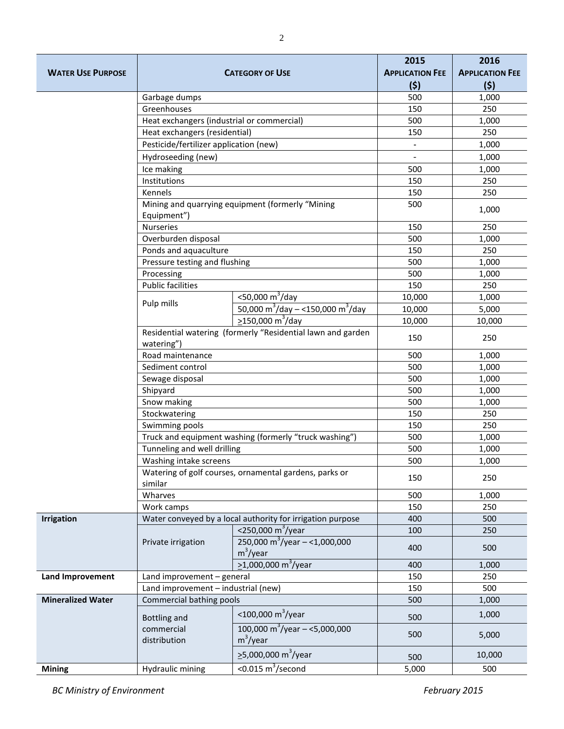|                          |                                            |                                                             | 2015                   | 2016                   |
|--------------------------|--------------------------------------------|-------------------------------------------------------------|------------------------|------------------------|
| <b>WATER USE PURPOSE</b> |                                            | <b>CATEGORY OF USE</b>                                      | <b>APPLICATION FEE</b> | <b>APPLICATION FEE</b> |
|                          |                                            |                                                             | (5)                    | (5)                    |
|                          | Garbage dumps                              |                                                             | 500                    | 1,000                  |
|                          | Greenhouses                                |                                                             | 150                    | 250                    |
|                          | Heat exchangers (industrial or commercial) |                                                             | 500                    | 1,000                  |
|                          | Heat exchangers (residential)              |                                                             | 150                    | 250                    |
|                          | Pesticide/fertilizer application (new)     |                                                             |                        | 1,000                  |
|                          | Hydroseeding (new)                         |                                                             |                        | 1,000                  |
|                          | Ice making                                 |                                                             | 500                    | 1,000                  |
|                          | Institutions                               |                                                             | 150                    | 250                    |
|                          | Kennels                                    |                                                             | 150                    | 250                    |
|                          |                                            | Mining and quarrying equipment (formerly "Mining            | 500                    | 1,000                  |
|                          | Equipment")                                |                                                             |                        |                        |
|                          | <b>Nurseries</b>                           |                                                             | 150                    | 250                    |
|                          | Overburden disposal                        |                                                             | 500                    | 1,000                  |
|                          | Ponds and aquaculture                      |                                                             | 150                    | 250                    |
|                          | Pressure testing and flushing              |                                                             | 500                    | 1,000                  |
|                          | Processing                                 |                                                             | 500                    | 1,000                  |
|                          | <b>Public facilities</b>                   |                                                             | 150                    | 250                    |
|                          | Pulp mills                                 | $<$ 50,000 m <sup>3</sup> /day                              | 10,000                 | 1,000                  |
|                          |                                            | 50,000 m <sup>3</sup> /day - <150,000 m <sup>3</sup> /day   | 10,000                 | 5,000                  |
|                          |                                            | $>150,000 \text{ m}^3/\text{day}$                           | 10,000                 | 10,000                 |
|                          | watering")                                 | Residential watering (formerly "Residential lawn and garden | 150                    | 250                    |
|                          | Road maintenance                           |                                                             | 500                    | 1,000                  |
|                          | Sediment control                           |                                                             | 500                    | 1,000                  |
|                          | Sewage disposal                            |                                                             | 500                    | 1,000                  |
|                          | Shipyard                                   |                                                             | 500                    | 1,000                  |
|                          | Snow making                                |                                                             | 500                    | 1,000                  |
|                          | Stockwatering<br>Swimming pools            |                                                             | 150                    | 250                    |
|                          |                                            |                                                             | 150                    | 250                    |
|                          |                                            | Truck and equipment washing (formerly "truck washing")      | 500                    | 1,000                  |
|                          | Tunneling and well drilling                |                                                             | 500                    | 1,000                  |
|                          | Washing intake screens                     |                                                             | 500                    | 1,000                  |
|                          | similar                                    | Watering of golf courses, ornamental gardens, parks or      | 150                    | 250                    |
|                          | Wharves                                    |                                                             | 500                    | 1,000                  |
|                          | Work camps                                 |                                                             | 150                    | 250                    |
| <b>Irrigation</b>        |                                            | Water conveyed by a local authority for irrigation purpose  | 400                    | 500                    |
|                          |                                            | <250,000 $m^3$ /year                                        | 100                    | 250                    |
|                          | Private irrigation                         | 250,000 m <sup>3</sup> /year $-$ <1,000,000<br>$m^3$ /year  | 400                    | 500                    |
|                          |                                            | $\geq 1,000,000 \text{ m}^3/\text{year}$                    | 400                    | 1,000                  |
| <b>Land Improvement</b>  | Land improvement - general                 |                                                             | 150                    | 250                    |
|                          | Land improvement - industrial (new)        |                                                             | 150                    | 500                    |
| <b>Mineralized Water</b> | Commercial bathing pools                   |                                                             | 500                    | 1,000                  |
|                          | <b>Bottling and</b>                        | <100,000 $m^3$ /year                                        | 500                    | 1,000                  |
|                          | commercial<br>distribution                 | 100,000 m <sup>3</sup> /year $-$ <5,000,000<br>$m^3$ /year  | 500                    | 5,000                  |
|                          |                                            | $\geq$ 5,000,000 m <sup>3</sup> /year                       | 500                    | 10,000                 |
| <b>Mining</b>            | Hydraulic mining                           | $\frac{1}{2}$ <0.015 m <sup>3</sup> /second                 | 5,000                  | 500                    |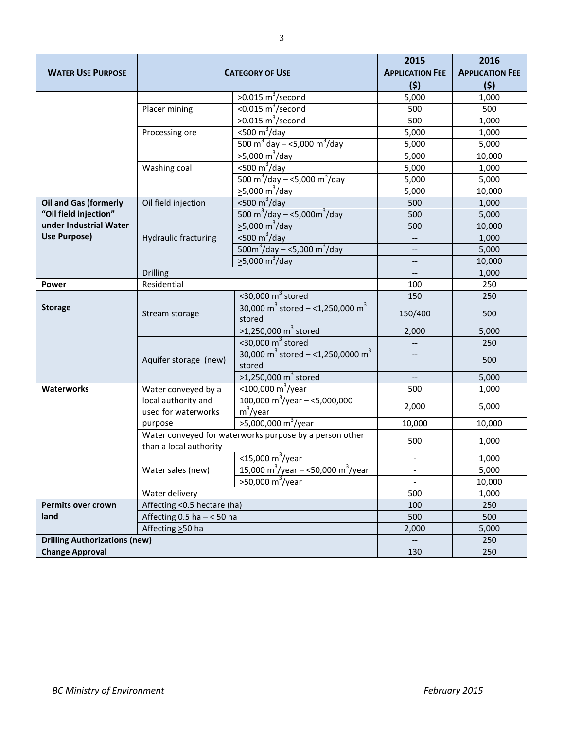|                                      | <b>CATEGORY OF USE</b>                                                            |                                                                      | 2015                     | 2016                   |
|--------------------------------------|-----------------------------------------------------------------------------------|----------------------------------------------------------------------|--------------------------|------------------------|
| <b>WATER USE PURPOSE</b>             |                                                                                   |                                                                      | <b>APPLICATION FEE</b>   | <b>APPLICATION FEE</b> |
|                                      |                                                                                   |                                                                      | (5)                      | (5)                    |
|                                      |                                                                                   | $\geq$ 0.015 m <sup>3</sup> /second                                  | 5,000                    | 1,000                  |
|                                      | Placer mining                                                                     | < $0.015 \text{ m}^3$ /second                                        | 500                      | 500                    |
|                                      |                                                                                   | $\geq 0.015 \text{ m}^3/\text{second}$                               | 500                      | 1,000                  |
|                                      | Processing ore                                                                    | $<$ 500 m $\frac{3}{day}$                                            | 5,000                    | 1,000                  |
|                                      |                                                                                   | 500 m <sup>3</sup> day - <5,000 m <sup>3</sup> /day                  | 5,000                    | 5,000                  |
|                                      |                                                                                   | $\ge$ 5,000 m <sup>3</sup> /day                                      | 5,000                    | 10,000                 |
|                                      | Washing coal                                                                      | $<$ 500 m <sup>3</sup> /day                                          | 5,000                    | 1,000                  |
|                                      |                                                                                   | 500 m <sup>3</sup> /day - <5,000 m <sup>3</sup> /day                 | 5,000                    | 5,000                  |
|                                      |                                                                                   | $\ge$ 5,000 m <sup>3</sup> /day                                      | 5,000                    | 10,000                 |
| <b>Oil and Gas (formerly</b>         | Oil field injection                                                               | $<$ 500 m <sup>3</sup> /day                                          | 500                      | 1,000                  |
| "Oil field injection"                |                                                                                   | 500 m <sup>3</sup> /day - <5,000m <sup>3</sup> /day                  | 500                      | 5,000                  |
| under Industrial Water               |                                                                                   | $\ge$ 5,000 m <sup>3</sup> /day                                      | 500                      | 10,000                 |
| <b>Use Purpose)</b>                  | <b>Hydraulic fracturing</b>                                                       | $<$ 500 m <sup>3</sup> /day                                          | $\overline{\phantom{a}}$ | 1,000                  |
|                                      |                                                                                   | 500m <sup>3</sup> /day - <5,000 m <sup>3</sup> /day                  | $\overline{\phantom{a}}$ | 5,000                  |
|                                      |                                                                                   | $>5,000 \text{ m}^3/\text{day}$                                      | $\overline{\phantom{a}}$ | 10,000                 |
|                                      | Drilling                                                                          |                                                                      | $\overline{\phantom{a}}$ | 1,000                  |
| <b>Power</b>                         | Residential                                                                       |                                                                      | 100                      | 250                    |
|                                      |                                                                                   | <30,000 $m^3$ stored                                                 | 150                      | 250                    |
| <b>Storage</b>                       | Stream storage                                                                    | 30,000 m <sup>3</sup> stored $-$ <1,250,000 m <sup>3</sup><br>stored | 150/400                  | 500                    |
|                                      |                                                                                   | $\geq$ 1,250,000 m <sup>3</sup> stored                               | 2,000                    | 5,000                  |
|                                      |                                                                                   | $<$ 30,000 m <sup>3</sup> stored                                     |                          | 250                    |
|                                      |                                                                                   | 30,000 m <sup>3</sup> stored $-$ <1,250,0000 m <sup>3</sup>          |                          |                        |
|                                      | Aquifer storage (new)                                                             | stored                                                               |                          | 500                    |
|                                      |                                                                                   | $\geq$ 1,250,000 m <sup>3</sup> stored                               | $\overline{\phantom{a}}$ | 5,000                  |
| Waterworks                           | Water conveyed by a                                                               | <100,000 m <sup>3</sup> /year                                        | 500                      | 1,000                  |
|                                      | local authority and<br>used for waterworks                                        | 100,000 m <sup>3</sup> /year $-$ <5,000,000<br>$m^3$ /year           | 2,000                    | 5,000                  |
|                                      | purpose                                                                           | $\ge$ 5,000,000 m <sup>3</sup> /year                                 | 10,000                   | 10,000                 |
|                                      | Water conveyed for waterworks purpose by a person other<br>than a local authority |                                                                      | 500                      | 1,000                  |
|                                      |                                                                                   | $<$ 15,000 m <sup>3</sup> /year                                      | $\overline{\phantom{a}}$ | 1,000                  |
|                                      | Water sales (new)                                                                 | 15,000 m <sup>3</sup> /year - <50,000 m <sup>3</sup> /year           | $\overline{\phantom{a}}$ | 5,000                  |
|                                      |                                                                                   | $>50,000 \text{ m}^3$ /year                                          |                          | 10,000                 |
|                                      | Water delivery                                                                    |                                                                      | 500                      | 1,000                  |
| <b>Permits over crown</b>            | Affecting <0.5 hectare (ha)                                                       |                                                                      | 100                      | 250                    |
| land                                 | Affecting 0.5 ha - < 50 ha                                                        |                                                                      | 500                      | 500                    |
|                                      | Affecting > 50 ha                                                                 |                                                                      | 2,000                    | 5,000                  |
| <b>Drilling Authorizations (new)</b> |                                                                                   |                                                                      |                          | 250                    |
| <b>Change Approval</b>               |                                                                                   |                                                                      | 130                      | 250                    |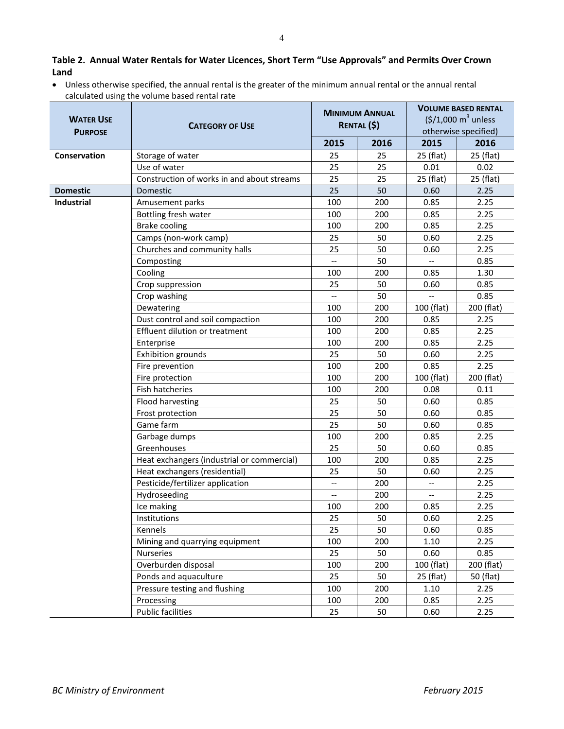## **Table 2. Annual Water Rentals for Water Licences, Short Term "Use Approvals" and Permits Over Crown Land**

• Unless otherwise specified, the annual rental is the greater of the minimum annual rental or the annual rental calculated using the volume based rental rate

| calculated dolling the volume based refitairmate<br><b>WATER USE</b><br><b>PURPOSE</b> | <b>CATEGORY OF USE</b>                     |                          | <b>MINIMUM ANNUAL</b><br><b>RENTAL</b> (\$)<br>2015<br>2016 |                          | <b>VOLUME BASED RENTAL</b><br>$(\frac{2}{3}/1,000 m3 unless$<br>otherwise specified)<br>2015<br>2016 |  |
|----------------------------------------------------------------------------------------|--------------------------------------------|--------------------------|-------------------------------------------------------------|--------------------------|------------------------------------------------------------------------------------------------------|--|
| Conservation                                                                           | Storage of water                           | 25                       | 25                                                          | 25 (flat)                | 25 (flat)                                                                                            |  |
|                                                                                        | Use of water                               | 25                       | 25                                                          | 0.01                     | 0.02                                                                                                 |  |
|                                                                                        | Construction of works in and about streams | 25                       | 25                                                          | 25 (flat)                | 25 (flat)                                                                                            |  |
| <b>Domestic</b>                                                                        | Domestic                                   | 25                       | 50                                                          | 0.60                     | 2.25                                                                                                 |  |
| Industrial                                                                             | Amusement parks                            | 100                      | 200                                                         | 0.85                     | 2.25                                                                                                 |  |
|                                                                                        | Bottling fresh water                       | 100                      | 200                                                         | 0.85                     | 2.25                                                                                                 |  |
|                                                                                        | <b>Brake cooling</b>                       | 100                      | 200                                                         | 0.85                     | 2.25                                                                                                 |  |
|                                                                                        | Camps (non-work camp)                      | 25                       | 50                                                          | 0.60                     | 2.25                                                                                                 |  |
|                                                                                        | Churches and community halls               | 25                       | 50                                                          | 0.60                     | 2.25                                                                                                 |  |
|                                                                                        | Composting                                 | $\overline{\phantom{a}}$ | 50                                                          |                          | 0.85                                                                                                 |  |
|                                                                                        | Cooling                                    | 100                      | 200                                                         | 0.85                     | 1.30                                                                                                 |  |
|                                                                                        | Crop suppression                           | 25                       | 50                                                          | 0.60                     | 0.85                                                                                                 |  |
|                                                                                        | Crop washing                               | $\overline{\phantom{a}}$ | 50                                                          |                          | 0.85                                                                                                 |  |
|                                                                                        | Dewatering                                 | 100                      | 200                                                         | 100 (flat)               | 200 (flat)                                                                                           |  |
|                                                                                        | Dust control and soil compaction           | 100                      | 200                                                         | 0.85                     | 2.25                                                                                                 |  |
|                                                                                        | Effluent dilution or treatment             | 100                      | 200                                                         | 0.85                     | 2.25                                                                                                 |  |
|                                                                                        | Enterprise                                 | 100                      | 200                                                         | 0.85                     | 2.25                                                                                                 |  |
|                                                                                        | <b>Exhibition grounds</b>                  | 25                       | 50                                                          | 0.60                     | 2.25                                                                                                 |  |
|                                                                                        | Fire prevention                            | 100                      | 200                                                         | 0.85                     | 2.25                                                                                                 |  |
|                                                                                        | Fire protection                            | 100                      | 200                                                         | 100 (flat)               | 200 (flat)                                                                                           |  |
|                                                                                        | Fish hatcheries                            | 100                      | 200                                                         | 0.08                     | 0.11                                                                                                 |  |
|                                                                                        | Flood harvesting                           | 25                       | 50                                                          | 0.60                     | 0.85                                                                                                 |  |
|                                                                                        | Frost protection                           | 25                       | 50                                                          | 0.60                     | 0.85                                                                                                 |  |
|                                                                                        | Game farm                                  | 25                       | 50                                                          | 0.60                     | 0.85                                                                                                 |  |
|                                                                                        | Garbage dumps                              | 100                      | 200                                                         | 0.85                     | 2.25                                                                                                 |  |
|                                                                                        | Greenhouses                                | 25                       | 50                                                          | 0.60                     | 0.85                                                                                                 |  |
|                                                                                        | Heat exchangers (industrial or commercial) | 100                      | 200                                                         | 0.85                     | 2.25                                                                                                 |  |
|                                                                                        | Heat exchangers (residential)              | 25                       | 50                                                          | 0.60                     | 2.25                                                                                                 |  |
|                                                                                        | Pesticide/fertilizer application           | $\overline{\phantom{a}}$ | 200                                                         | $-$                      | 2.25                                                                                                 |  |
|                                                                                        | Hydroseeding                               | $\overline{\phantom{a}}$ | 200                                                         | $\overline{\phantom{a}}$ | 2.25                                                                                                 |  |
|                                                                                        | Ice making                                 | 100                      | 200                                                         | 0.85                     | 2.25                                                                                                 |  |
|                                                                                        | Institutions                               | 25                       | 50                                                          | 0.60                     | 2.25                                                                                                 |  |
|                                                                                        | Kennels                                    | 25                       | 50                                                          | 0.60                     | 0.85                                                                                                 |  |
|                                                                                        | Mining and quarrying equipment             | 100                      | 200                                                         | 1.10                     | 2.25                                                                                                 |  |
|                                                                                        | Nurseries                                  | 25                       | 50                                                          | 0.60                     | 0.85                                                                                                 |  |
|                                                                                        | Overburden disposal                        | 100                      | 200                                                         | 100 (flat)               | 200 (flat)                                                                                           |  |
|                                                                                        | Ponds and aquaculture                      | 25                       | 50                                                          | 25 (flat)                | 50 (flat)                                                                                            |  |
|                                                                                        | Pressure testing and flushing              | 100                      | 200                                                         | 1.10                     | 2.25                                                                                                 |  |
|                                                                                        | Processing                                 | 100                      | 200                                                         | 0.85                     | 2.25                                                                                                 |  |
|                                                                                        | <b>Public facilities</b>                   | 25                       | 50                                                          | 0.60                     | 2.25                                                                                                 |  |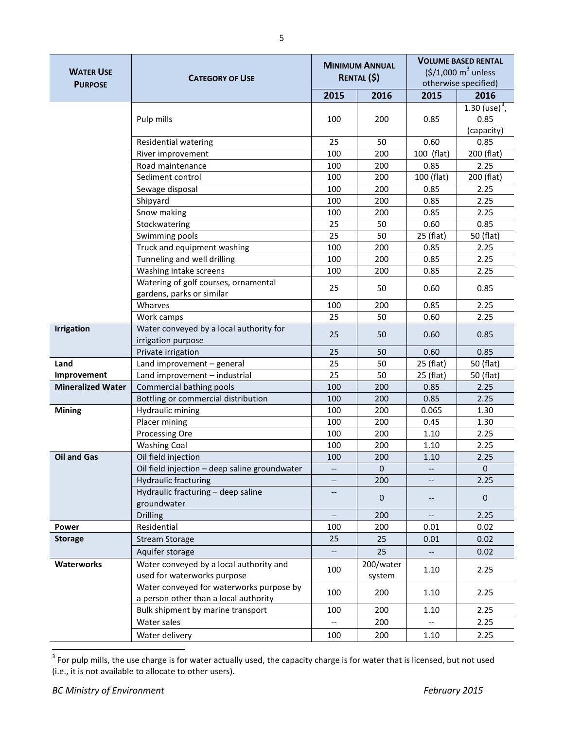| <b>WATER USE</b><br><b>CATEGORY OF USE</b><br><b>PURPOSE</b> |                                                                                   |                          | <b>MINIMUM ANNUAL</b><br>RENTAL (\$) |                          | <b>VOLUME BASED RENTAL</b><br>$(\frac{2}{3}/1,000 \text{ m}^3 \text{ unless})$<br>otherwise specified) |  |
|--------------------------------------------------------------|-----------------------------------------------------------------------------------|--------------------------|--------------------------------------|--------------------------|--------------------------------------------------------------------------------------------------------|--|
|                                                              |                                                                                   | 2015                     | 2016                                 | 2015                     | 2016                                                                                                   |  |
|                                                              | Pulp mills                                                                        | 100                      | 200                                  | 0.85                     | 1.30 (use) <sup>3</sup> ,<br>0.85<br>(capacity)                                                        |  |
|                                                              | Residential watering                                                              | 25                       | 50                                   | 0.60                     | 0.85                                                                                                   |  |
|                                                              | River improvement                                                                 | 100                      | 200                                  | 100 (flat)               | 200 (flat)                                                                                             |  |
|                                                              | Road maintenance                                                                  | 100                      | 200                                  | 0.85                     | 2.25                                                                                                   |  |
|                                                              | Sediment control                                                                  | 100                      | 200                                  | 100 (flat)               | 200 (flat)                                                                                             |  |
|                                                              | Sewage disposal                                                                   | 100                      | 200                                  | 0.85                     | 2.25                                                                                                   |  |
|                                                              | Shipyard                                                                          | 100                      | 200                                  | 0.85                     | 2.25                                                                                                   |  |
|                                                              | Snow making                                                                       | 100                      | 200                                  | 0.85                     | 2.25                                                                                                   |  |
|                                                              | Stockwatering                                                                     | 25                       | 50                                   | 0.60                     | 0.85                                                                                                   |  |
|                                                              | Swimming pools                                                                    | 25                       | 50                                   | 25 (flat)                | 50 (flat)                                                                                              |  |
|                                                              | Truck and equipment washing                                                       | 100                      | 200                                  | 0.85                     | 2.25                                                                                                   |  |
|                                                              | Tunneling and well drilling                                                       | 100                      | 200                                  | 0.85                     | 2.25                                                                                                   |  |
|                                                              | Washing intake screens                                                            | 100                      | 200                                  | 0.85                     | 2.25                                                                                                   |  |
|                                                              | Watering of golf courses, ornamental<br>gardens, parks or similar                 | 25                       | 50                                   | 0.60                     | 0.85                                                                                                   |  |
|                                                              | Wharves                                                                           | 100                      | 200                                  | 0.85                     | 2.25                                                                                                   |  |
|                                                              | Work camps                                                                        | 25                       | 50                                   | 0.60                     | 2.25                                                                                                   |  |
| <b>Irrigation</b>                                            | Water conveyed by a local authority for<br>irrigation purpose                     | 25                       | 50                                   | 0.60                     | 0.85                                                                                                   |  |
|                                                              | Private irrigation                                                                | 25                       | 50                                   | 0.60                     | 0.85                                                                                                   |  |
| Land                                                         | Land improvement - general                                                        | 25                       | 50                                   | 25 (flat)                | 50 (flat)                                                                                              |  |
| Improvement                                                  | Land improvement - industrial                                                     | 25                       | 50                                   | 25 (flat)                | 50 (flat)                                                                                              |  |
| <b>Mineralized Water</b>                                     | Commercial bathing pools                                                          | 100                      | 200                                  | 0.85                     | 2.25                                                                                                   |  |
|                                                              | Bottling or commercial distribution                                               | 100                      | 200                                  | 0.85                     | 2.25                                                                                                   |  |
| <b>Mining</b>                                                | <b>Hydraulic mining</b>                                                           | 100                      | 200                                  | 0.065                    | 1.30                                                                                                   |  |
|                                                              | Placer mining                                                                     | 100                      | 200                                  | 0.45                     | 1.30                                                                                                   |  |
|                                                              | Processing Ore                                                                    | 100                      | 200                                  | 1.10                     | 2.25                                                                                                   |  |
|                                                              | <b>Washing Coal</b>                                                               | 100                      | 200                                  | 1.10                     | 2.25                                                                                                   |  |
| <b>Oil and Gas</b>                                           | Oil field injection                                                               | 100                      | 200                                  | 1.10                     | 2.25                                                                                                   |  |
|                                                              | Oil field injection - deep saline groundwater                                     | --                       | 0                                    | $-\!$                    | 0                                                                                                      |  |
|                                                              | <b>Hydraulic fracturing</b>                                                       | $--$                     | 200                                  | $-$                      | 2.25                                                                                                   |  |
|                                                              | Hydraulic fracturing - deep saline                                                |                          | $\mathbf 0$                          | --                       | $\mathbf 0$                                                                                            |  |
|                                                              | groundwater                                                                       |                          |                                      |                          |                                                                                                        |  |
|                                                              | <b>Drilling</b>                                                                   | $\overline{\phantom{a}}$ | 200                                  | $\overline{\phantom{a}}$ | 2.25                                                                                                   |  |
| <b>Power</b>                                                 | Residential                                                                       | 100                      | 200                                  | 0.01                     | 0.02                                                                                                   |  |
| <b>Storage</b>                                               | <b>Stream Storage</b>                                                             | 25                       | 25                                   | 0.01                     | 0.02                                                                                                   |  |
|                                                              | Aquifer storage                                                                   | $\overline{\phantom{a}}$ | 25                                   |                          | 0.02                                                                                                   |  |
| Waterworks                                                   | Water conveyed by a local authority and<br>used for waterworks purpose            | 100                      | 200/water<br>system                  | 1.10                     | 2.25                                                                                                   |  |
|                                                              | Water conveyed for waterworks purpose by<br>a person other than a local authority | 100                      | 200                                  | 1.10                     | 2.25                                                                                                   |  |
|                                                              | Bulk shipment by marine transport                                                 | 100                      | 200                                  | 1.10                     | 2.25                                                                                                   |  |
|                                                              | Water sales                                                                       |                          | 200                                  |                          | 2.25                                                                                                   |  |
|                                                              | Water delivery                                                                    | 100                      | 200                                  | 1.10                     | 2.25                                                                                                   |  |

<span id="page-4-0"></span><sup>&</sup>lt;sup>3</sup> For pulp mills, the use charge is for water actually used, the capacity charge is for water that is licensed, but not used (i.e., it is not available to allocate to other users).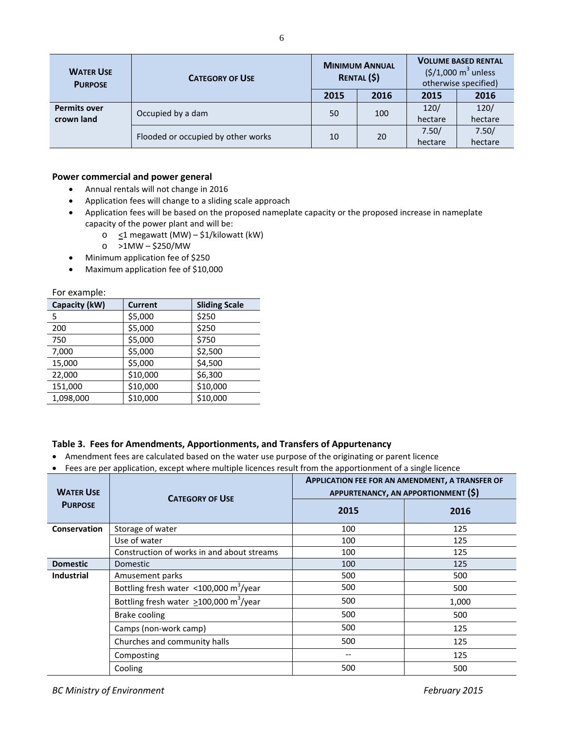| <b>WATER USE</b><br><b>PURPOSE</b> | <b>CATEGORY OF USE</b>             | <b>MINIMUM ANNUAL</b><br>RENTAL (\$) |      | <b>VOLUME BASED RENTAL</b><br>$(\frac{\xi}{1,000} \text{ m}^3 \text{ unless})$<br>otherwise specified) |         |
|------------------------------------|------------------------------------|--------------------------------------|------|--------------------------------------------------------------------------------------------------------|---------|
|                                    |                                    | 2015                                 | 2016 | 2015                                                                                                   | 2016    |
| <b>Permits over</b>                | Occupied by a dam                  | 50<br>100                            |      | 120/                                                                                                   | 120/    |
| crown land                         |                                    |                                      |      | hectare                                                                                                | hectare |
|                                    |                                    | 10                                   |      | 7.50/                                                                                                  | 7.50/   |
|                                    | Flooded or occupied by other works |                                      | 20   | hectare                                                                                                | hectare |

#### **Power commercial and power general**

- Annual rentals will not change in 2016
- Application fees will change to a sliding scale approach
- Application fees will be based on the proposed nameplate capacity or the proposed increase in nameplate capacity of the power plant and will be:
	- o <1 megawatt (MW) \$1/kilowatt (kW)
	- o >1MW \$250/MW
- Minimum application fee of \$250
- Maximum application fee of \$10,000

For example:

| Capacity (kW) | <b>Current</b> | <b>Sliding Scale</b> |
|---------------|----------------|----------------------|
| 5             | \$5,000        | \$250                |
| 200           | \$5,000        | \$250                |
| 750           | \$5,000        | \$750                |
| 7,000         | \$5,000        | \$2,500              |
| 15,000        | \$5,000        | \$4,500              |
| 22,000        | \$10,000       | \$6,300              |
| 151,000       | \$10,000       | \$10,000             |
| 1,098,000     | \$10,000       | \$10,000             |

#### **Table 3. Fees for Amendments, Apportionments, and Transfers of Appurtenancy**

- Amendment fees are calculated based on the water use purpose of the originating or parent licence
- Fees are per application, except where multiple licences result from the apportionment of a single licence

| <b>WATER USE</b><br><b>PURPOSE</b> | <b>CATEGORY OF USE</b>                                   | <b>APPLICATION FEE FOR AN AMENDMENT, A TRANSFER OF</b><br>APPURTENANCY, AN APPORTIONMENT (\$) |       |  |
|------------------------------------|----------------------------------------------------------|-----------------------------------------------------------------------------------------------|-------|--|
|                                    |                                                          | 2015                                                                                          | 2016  |  |
| Conservation                       | Storage of water                                         | 100                                                                                           | 125   |  |
|                                    | Use of water                                             | 100                                                                                           | 125   |  |
|                                    | Construction of works in and about streams               | 100                                                                                           | 125   |  |
| <b>Domestic</b>                    | <b>Domestic</b>                                          | 100                                                                                           | 125   |  |
| <b>Industrial</b>                  | Amusement parks                                          | 500                                                                                           | 500   |  |
|                                    | Bottling fresh water <100,000 $m^3$ /year                | 500                                                                                           | 500   |  |
|                                    | Bottling fresh water $\geq 100,000$ m <sup>3</sup> /year | 500                                                                                           | 1,000 |  |
|                                    | Brake cooling                                            | 500                                                                                           | 500   |  |
|                                    | Camps (non-work camp)                                    | 500                                                                                           | 125   |  |
|                                    | Churches and community halls                             | 500                                                                                           | 125   |  |
|                                    | Composting                                               | --                                                                                            | 125   |  |
|                                    | Cooling                                                  | 500                                                                                           | 500   |  |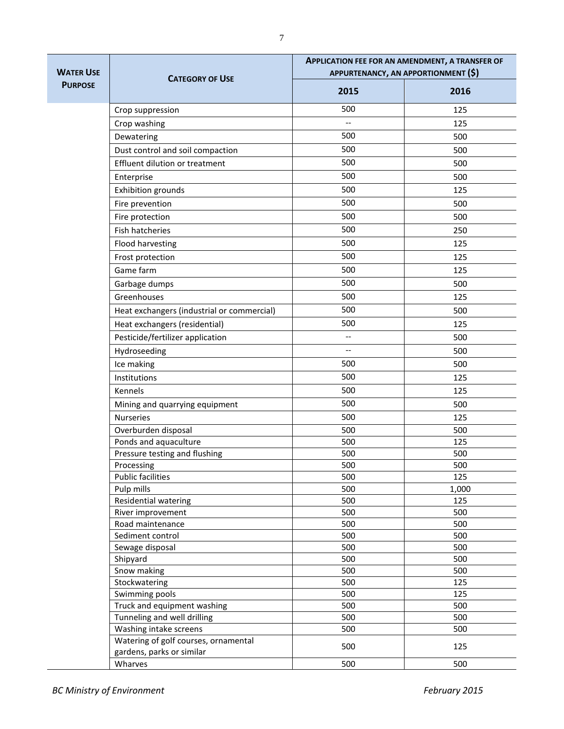| <b>WATER USE</b> | <b>CATEGORY OF USE</b>                                            | <b>APPLICATION FEE FOR AN AMENDMENT, A TRANSFER OF</b><br>APPURTENANCY, AN APPORTIONMENT (\$) |            |  |
|------------------|-------------------------------------------------------------------|-----------------------------------------------------------------------------------------------|------------|--|
| <b>PURPOSE</b>   |                                                                   | 2015                                                                                          | 2016       |  |
|                  | Crop suppression                                                  | 500                                                                                           | 125        |  |
|                  | Crop washing                                                      | --                                                                                            | 125        |  |
|                  | Dewatering                                                        | 500                                                                                           | 500        |  |
|                  | Dust control and soil compaction                                  | 500                                                                                           | 500        |  |
|                  | Effluent dilution or treatment                                    | 500                                                                                           | 500        |  |
|                  | Enterprise                                                        | 500                                                                                           | 500        |  |
|                  | <b>Exhibition grounds</b>                                         | 500                                                                                           | 125        |  |
|                  | Fire prevention                                                   | 500                                                                                           | 500        |  |
|                  | Fire protection                                                   | 500                                                                                           | 500        |  |
|                  | Fish hatcheries                                                   | 500                                                                                           | 250        |  |
|                  | Flood harvesting                                                  | 500                                                                                           | 125        |  |
|                  |                                                                   | 500                                                                                           | 125        |  |
|                  | Frost protection                                                  | 500                                                                                           |            |  |
|                  | Game farm                                                         |                                                                                               | 125        |  |
|                  | Garbage dumps                                                     | 500                                                                                           | 500        |  |
|                  | Greenhouses                                                       | 500                                                                                           | 125        |  |
|                  | Heat exchangers (industrial or commercial)                        | 500                                                                                           | 500        |  |
|                  | Heat exchangers (residential)                                     | 500                                                                                           | 125        |  |
|                  | Pesticide/fertilizer application                                  | --                                                                                            | 500        |  |
|                  | Hydroseeding                                                      | --                                                                                            | 500        |  |
|                  | Ice making                                                        | 500                                                                                           | 500        |  |
|                  | Institutions                                                      | 500                                                                                           | 125        |  |
|                  | Kennels                                                           | 500                                                                                           | 125        |  |
|                  | Mining and quarrying equipment                                    | 500                                                                                           | 500        |  |
|                  | <b>Nurseries</b>                                                  | 500                                                                                           | 125        |  |
|                  | Overburden disposal                                               | 500                                                                                           | 500        |  |
|                  | Ponds and aquaculture                                             | 500                                                                                           | 125        |  |
|                  | Pressure testing and flushing                                     | 500                                                                                           | 500        |  |
|                  | Processing                                                        | 500                                                                                           | 500        |  |
|                  | <b>Public facilities</b>                                          | 500                                                                                           | 125        |  |
|                  | Pulp mills                                                        | 500                                                                                           | 1,000      |  |
|                  | Residential watering                                              | 500                                                                                           | 125        |  |
|                  | River improvement<br>Road maintenance                             | 500<br>500                                                                                    | 500<br>500 |  |
|                  | Sediment control                                                  | 500                                                                                           | 500        |  |
|                  | Sewage disposal                                                   | 500                                                                                           | 500        |  |
|                  | Shipyard                                                          | 500                                                                                           | 500        |  |
|                  | Snow making                                                       | 500                                                                                           | 500        |  |
|                  | Stockwatering                                                     | 500                                                                                           | 125        |  |
|                  | Swimming pools                                                    | 500                                                                                           | 125        |  |
|                  | Truck and equipment washing                                       | 500                                                                                           | 500        |  |
|                  | Tunneling and well drilling                                       | 500                                                                                           | 500        |  |
|                  | Washing intake screens                                            | 500                                                                                           | 500        |  |
|                  | Watering of golf courses, ornamental<br>gardens, parks or similar | 500                                                                                           | 125        |  |
|                  | Wharves                                                           | 500                                                                                           | 500        |  |